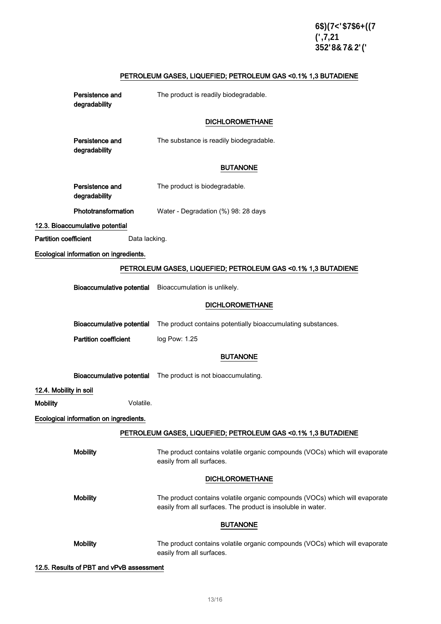# PETROLEUM GASES, LIQUEFIED; PETROLEUM GAS <0.1% 1,3 BUTADIENE

|                              | Persistence and<br>degradability       | The product is readily biodegradable.                                                                                                       |
|------------------------------|----------------------------------------|---------------------------------------------------------------------------------------------------------------------------------------------|
|                              |                                        | <b>DICHLOROMETHANE</b>                                                                                                                      |
|                              | Persistence and<br>degradability       | The substance is readily biodegradable.                                                                                                     |
|                              |                                        | <b>BUTANONE</b>                                                                                                                             |
|                              | Persistence and<br>degradability       | The product is biodegradable.                                                                                                               |
|                              | Phototransformation                    | Water - Degradation (%) 98: 28 days                                                                                                         |
|                              | 12.3. Bioaccumulative potential        |                                                                                                                                             |
| <b>Partition coefficient</b> | Data lacking.                          |                                                                                                                                             |
|                              | Ecological information on ingredients. |                                                                                                                                             |
|                              |                                        | PETROLEUM GASES, LIQUEFIED; PETROLEUM GAS < 0.1% 1,3 BUTADIENE                                                                              |
|                              | <b>Bioaccumulative potential</b>       | Bioaccumulation is unlikely.                                                                                                                |
|                              |                                        | <b>DICHLOROMETHANE</b>                                                                                                                      |
|                              | <b>Bioaccumulative potential</b>       | The product contains potentially bioaccumulating substances.                                                                                |
|                              | <b>Partition coefficient</b>           | log Pow: 1.25                                                                                                                               |
|                              |                                        | <b>BUTANONE</b>                                                                                                                             |
|                              | <b>Bioaccumulative potential</b>       | The product is not bioaccumulating.                                                                                                         |
| 12.4. Mobility in soil       |                                        |                                                                                                                                             |
| <b>Mobility</b>              | Volatile.                              |                                                                                                                                             |
|                              | Ecological information on ingredients. |                                                                                                                                             |
|                              |                                        | PETROLEUM GASES, LIQUEFIED; PETROLEUM GAS < 0.1% 1,3 BUTADIENE                                                                              |
|                              | <b>Mobility</b>                        | The product contains volatile organic compounds (VOCs) which will evaporate<br>easily from all surfaces.                                    |
|                              |                                        | <b>DICHLOROMETHANE</b>                                                                                                                      |
|                              | <b>Mobility</b>                        | The product contains volatile organic compounds (VOCs) which will evaporate<br>easily from all surfaces. The product is insoluble in water. |
|                              |                                        | <b>BUTANONE</b>                                                                                                                             |
|                              | <b>Mobility</b>                        | The product contains volatile organic compounds (VOCs) which will evaporate<br>easily from all surfaces.                                    |

12.5. Results of PBT and vPvB assessment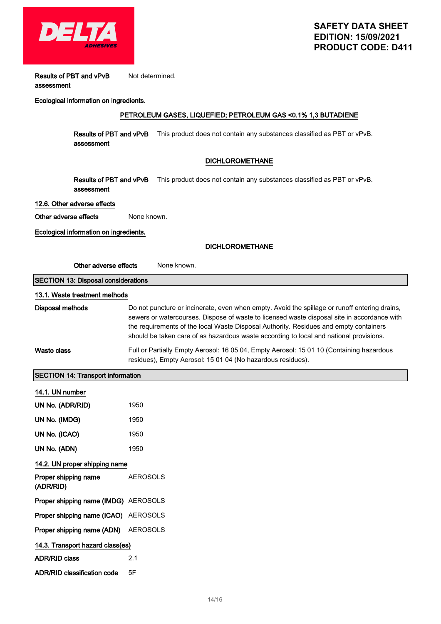

Results of PBT and vPvB assessment Not determined.

#### Ecological information on ingredients.

### PETROLEUM GASES, LIQUEFIED; PETROLEUM GAS <0.1% 1,3 BUTADIENE

**Results of PBT and vPvB** This product does not contain any substances classified as PBT or vPvB. assessment

#### DICHLOROMETHANE

**Results of PBT and vPvB** This product does not contain any substances classified as PBT or vPvB. assessment

#### 12.6. Other adverse effects

Other adverse effects None known.

Ecological information on ingredients.

|                                            | <b>DICHLOROMETHANE</b>                                                                                                                                                                                                                                                                                                                                                          |  |
|--------------------------------------------|---------------------------------------------------------------------------------------------------------------------------------------------------------------------------------------------------------------------------------------------------------------------------------------------------------------------------------------------------------------------------------|--|
| Other adverse effects                      | None known.                                                                                                                                                                                                                                                                                                                                                                     |  |
| <b>SECTION 13: Disposal considerations</b> |                                                                                                                                                                                                                                                                                                                                                                                 |  |
| 13.1. Waste treatment methods              |                                                                                                                                                                                                                                                                                                                                                                                 |  |
| <b>Disposal methods</b>                    | Do not puncture or incinerate, even when empty. Avoid the spillage or runoff entering drains,<br>sewers or watercourses. Dispose of waste to licensed waste disposal site in accordance with<br>the requirements of the local Waste Disposal Authority. Residues and empty containers<br>should be taken care of as hazardous waste according to local and national provisions. |  |
| <b>Waste class</b>                         | Full or Partially Empty Aerosol: 16 05 04, Empty Aerosol: 15 01 10 (Containing hazardous<br>residues), Empty Aerosol: 15 01 04 (No hazardous residues).                                                                                                                                                                                                                         |  |
| <b>SECTION 14: Transport information</b>   |                                                                                                                                                                                                                                                                                                                                                                                 |  |
| 14.1. UN number                            |                                                                                                                                                                                                                                                                                                                                                                                 |  |
| UN No. (ADR/RID)                           | 1950                                                                                                                                                                                                                                                                                                                                                                            |  |
| UN No. (IMDG)                              | 1950                                                                                                                                                                                                                                                                                                                                                                            |  |
| UN No. (ICAO)                              | 1950                                                                                                                                                                                                                                                                                                                                                                            |  |
| UN No. (ADN)                               | 1950                                                                                                                                                                                                                                                                                                                                                                            |  |
| 14.2. UN proper shipping name              |                                                                                                                                                                                                                                                                                                                                                                                 |  |
| Proper shipping name<br>(ADR/RID)          | <b>AEROSOLS</b>                                                                                                                                                                                                                                                                                                                                                                 |  |
| Proper shipping name (IMDG) AEROSOLS       |                                                                                                                                                                                                                                                                                                                                                                                 |  |
| Proper shipping name (ICAO) AEROSOLS       |                                                                                                                                                                                                                                                                                                                                                                                 |  |
|                                            |                                                                                                                                                                                                                                                                                                                                                                                 |  |

| Proper shipping name (ADN) AEROSOLS |  |
|-------------------------------------|--|
|-------------------------------------|--|

| 14.3. Transport hazard class(es)   |    |
|------------------------------------|----|
| <b>ADR/RID class</b>               | 21 |
| <b>ADR/RID classification code</b> | 5F |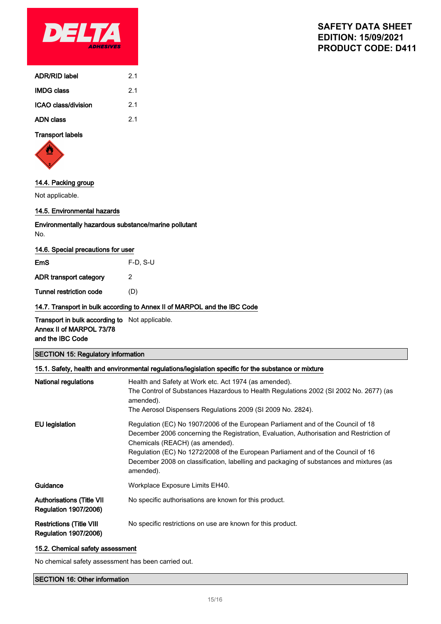

| ADR/RID label       | 21  |
|---------------------|-----|
| <b>IMDG class</b>   | 21  |
| ICAO class/division | 2.1 |
| ADN class           | 21  |

### Transport labels



## 14.4. Packing group

Not applicable.

#### 14.5. Environmental hazards

Environmentally hazardous substance/marine pollutant No.

#### 14.6. Special precautions for user

| EmS                     | $F-D. S-U$ |
|-------------------------|------------|
| ADR transport category  | 2          |
| Tunnel restriction code | (D)        |
|                         |            |

### 14.7. Transport in bulk according to Annex II of MARPOL and the IBC Code

Transport in bulk according to Not applicable. Annex II of MARPOL 73/78 and the IBC Code

### SECTION 15: Regulatory information

| 15.1. Safety, health and environmental regulations/legislation specific for the substance or mixture |                                                                                                                                                                                                                                                                                                                                                                                                            |  |
|------------------------------------------------------------------------------------------------------|------------------------------------------------------------------------------------------------------------------------------------------------------------------------------------------------------------------------------------------------------------------------------------------------------------------------------------------------------------------------------------------------------------|--|
| National regulations                                                                                 | Health and Safety at Work etc. Act 1974 (as amended).<br>The Control of Substances Hazardous to Health Regulations 2002 (SI 2002 No. 2677) (as<br>amended).<br>The Aerosol Dispensers Regulations 2009 (SI 2009 No. 2824).                                                                                                                                                                                 |  |
| <b>EU</b> legislation                                                                                | Regulation (EC) No 1907/2006 of the European Parliament and of the Council of 18<br>December 2006 concerning the Registration, Evaluation, Authorisation and Restriction of<br>Chemicals (REACH) (as amended).<br>Regulation (EC) No 1272/2008 of the European Parliament and of the Council of 16<br>December 2008 on classification, labelling and packaging of substances and mixtures (as<br>amended). |  |
| Guidance                                                                                             | Workplace Exposure Limits EH40.                                                                                                                                                                                                                                                                                                                                                                            |  |
| <b>Authorisations (Title VII</b><br><b>Regulation 1907/2006)</b>                                     | No specific authorisations are known for this product.                                                                                                                                                                                                                                                                                                                                                     |  |
| <b>Restrictions (Title VIII</b><br><b>Regulation 1907/2006)</b>                                      | No specific restrictions on use are known for this product.                                                                                                                                                                                                                                                                                                                                                |  |

#### 15.2. Chemical safety assessment

No chemical safety assessment has been carried out.

#### SECTION 16: Other information